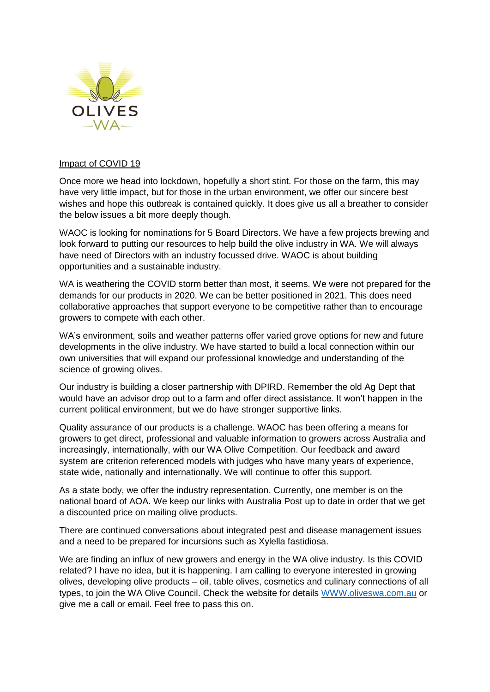

## Impact of COVID 19

Once more we head into lockdown, hopefully a short stint. For those on the farm, this may have very little impact, but for those in the urban environment, we offer our sincere best wishes and hope this outbreak is contained quickly. It does give us all a breather to consider the below issues a bit more deeply though.

WAOC is looking for nominations for 5 Board Directors. We have a few projects brewing and look forward to putting our resources to help build the olive industry in WA. We will always have need of Directors with an industry focussed drive. WAOC is about building opportunities and a sustainable industry.

WA is weathering the COVID storm better than most, it seems. We were not prepared for the demands for our products in 2020. We can be better positioned in 2021. This does need collaborative approaches that support everyone to be competitive rather than to encourage growers to compete with each other.

WA's environment, soils and weather patterns offer varied grove options for new and future developments in the olive industry. We have started to build a local connection within our own universities that will expand our professional knowledge and understanding of the science of growing olives.

Our industry is building a closer partnership with DPIRD. Remember the old Ag Dept that would have an advisor drop out to a farm and offer direct assistance. It won't happen in the current political environment, but we do have stronger supportive links.

Quality assurance of our products is a challenge. WAOC has been offering a means for growers to get direct, professional and valuable information to growers across Australia and increasingly, internationally, with our WA Olive Competition. Our feedback and award system are criterion referenced models with judges who have many years of experience, state wide, nationally and internationally. We will continue to offer this support.

As a state body, we offer the industry representation. Currently, one member is on the national board of AOA. We keep our links with Australia Post up to date in order that we get a discounted price on mailing olive products.

There are continued conversations about integrated pest and disease management issues and a need to be prepared for incursions such as Xylella fastidiosa.

We are finding an influx of new growers and energy in the WA olive industry. Is this COVID related? I have no idea, but it is happening. I am calling to everyone interested in growing olives, developing olive products – oil, table olives, cosmetics and culinary connections of all types, to join the WA Olive Council. Check the website for details [WWW.oliveswa.com.au](http://www.oliveswa.com.au/) or give me a call or email. Feel free to pass this on.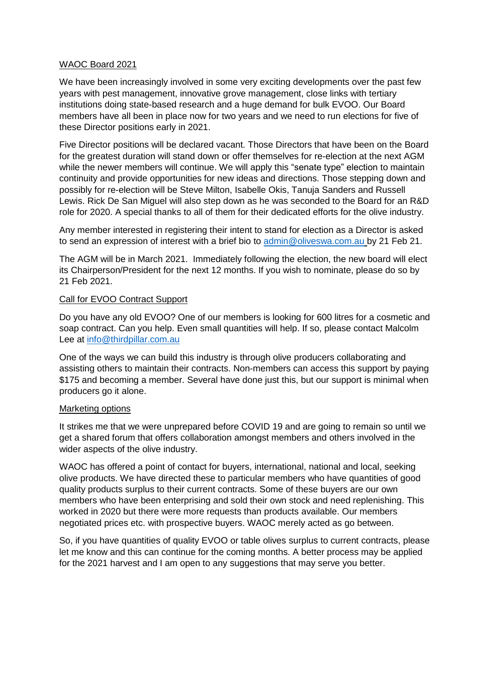### WAOC Board 2021

We have been increasingly involved in some very exciting developments over the past few years with pest management, innovative grove management, close links with tertiary institutions doing state-based research and a huge demand for bulk EVOO. Our Board members have all been in place now for two years and we need to run elections for five of these Director positions early in 2021.

Five Director positions will be declared vacant. Those Directors that have been on the Board for the greatest duration will stand down or offer themselves for re-election at the next AGM while the newer members will continue. We will apply this "senate type" election to maintain continuity and provide opportunities for new ideas and directions. Those stepping down and possibly for re-election will be Steve Milton, Isabelle Okis, Tanuja Sanders and Russell Lewis. Rick De San Miguel will also step down as he was seconded to the Board for an R&D role for 2020. A special thanks to all of them for their dedicated efforts for the olive industry.

Any member interested in registering their intent to stand for election as a Director is asked to send an expression of interest with a brief bio to [admin@oliveswa.com.au](mailto:admin@oliveswa.com.au) by 21 Feb 21.

The AGM will be in March 2021. Immediately following the election, the new board will elect its Chairperson/President for the next 12 months. If you wish to nominate, please do so by 21 Feb 2021.

## Call for EVOO Contract Support

Do you have any old EVOO? One of our members is looking for 600 litres for a cosmetic and soap contract. Can you help. Even small quantities will help. If so, please contact Malcolm Lee at [info@thirdpillar.com.au](mailto:info@thirdpillar.com.au)

One of the ways we can build this industry is through olive producers collaborating and assisting others to maintain their contracts. Non-members can access this support by paying \$175 and becoming a member. Several have done just this, but our support is minimal when producers go it alone.

#### Marketing options

It strikes me that we were unprepared before COVID 19 and are going to remain so until we get a shared forum that offers collaboration amongst members and others involved in the wider aspects of the olive industry.

WAOC has offered a point of contact for buyers, international, national and local, seeking olive products. We have directed these to particular members who have quantities of good quality products surplus to their current contracts. Some of these buyers are our own members who have been enterprising and sold their own stock and need replenishing. This worked in 2020 but there were more requests than products available. Our members negotiated prices etc. with prospective buyers. WAOC merely acted as go between.

So, if you have quantities of quality EVOO or table olives surplus to current contracts, please let me know and this can continue for the coming months. A better process may be applied for the 2021 harvest and I am open to any suggestions that may serve you better.